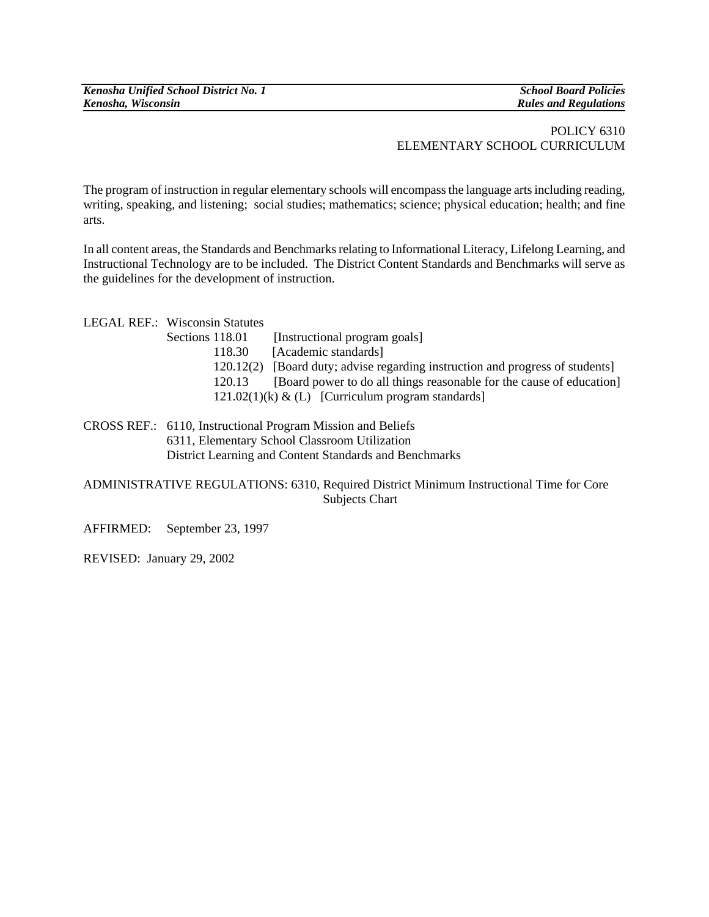## POLICY 6310 ELEMENTARY SCHOOL CURRICULUM

The program of instruction in regular elementary schools will encompass the language arts including reading, writing, speaking, and listening;social studies; mathematics; science; physical education; health; and fine arts.

In all content areas, the Standards and Benchmarks relating to Informational Literacy, Lifelong Learning, and Instructional Technology are to be included. The District Content Standards and Benchmarks will serve as the guidelines for the development of instruction.

| LEGAL REF.: Wisconsin Statutes |                                                                               |
|--------------------------------|-------------------------------------------------------------------------------|
| Sections 118.01                | [Instructional program goals]                                                 |
| 118.30                         | [Academic standards]                                                          |
|                                | 120.12(2) [Board duty; advise regarding instruction and progress of students] |
| 120.13                         | [Board power to do all things reasonable for the cause of education]          |
|                                | $121.02(1)$ (k) & (L) [Curriculum program standards]                          |
|                                |                                                                               |

CROSS REF.: 6110, Instructional Program Mission and Beliefs 6311, Elementary School Classroom Utilization District Learning and Content Standards and Benchmarks

ADMINISTRATIVE REGULATIONS: 6310, Required District Minimum Instructional Time for Core Subjects Chart

AFFIRMED: September 23, 1997

REVISED: January 29, 2002